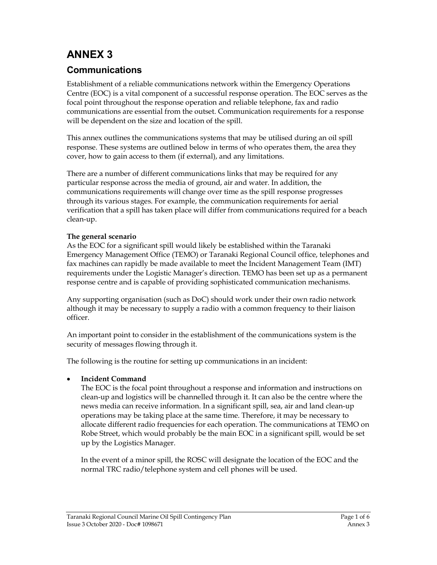# ANNEX 3

## Communications

Establishment of a reliable communications network within the Emergency Operations Centre (EOC) is a vital component of a successful response operation. The EOC serves as the focal point throughout the response operation and reliable telephone, fax and radio communications are essential from the outset. Communication requirements for a response will be dependent on the size and location of the spill.

This annex outlines the communications systems that may be utilised during an oil spill response. These systems are outlined below in terms of who operates them, the area they cover, how to gain access to them (if external), and any limitations.

There are a number of different communications links that may be required for any particular response across the media of ground, air and water. In addition, the communications requirements will change over time as the spill response progresses through its various stages. For example, the communication requirements for aerial verification that a spill has taken place will differ from communications required for a beach clean-up.

#### The general scenario

As the EOC for a significant spill would likely be established within the Taranaki Emergency Management Office (TEMO) or Taranaki Regional Council office, telephones and fax machines can rapidly be made available to meet the Incident Management Team (IMT) requirements under the Logistic Manager's direction. TEMO has been set up as a permanent response centre and is capable of providing sophisticated communication mechanisms.

Any supporting organisation (such as DoC) should work under their own radio network although it may be necessary to supply a radio with a common frequency to their liaison officer.

An important point to consider in the establishment of the communications system is the security of messages flowing through it.

The following is the routine for setting up communications in an incident:

#### Incident Command

The EOC is the focal point throughout a response and information and instructions on clean-up and logistics will be channelled through it. It can also be the centre where the news media can receive information. In a significant spill, sea, air and land clean-up operations may be taking place at the same time. Therefore, it may be necessary to allocate different radio frequencies for each operation. The communications at TEMO on Robe Street, which would probably be the main EOC in a significant spill, would be set up by the Logistics Manager.

In the event of a minor spill, the ROSC will designate the location of the EOC and the normal TRC radio/telephone system and cell phones will be used.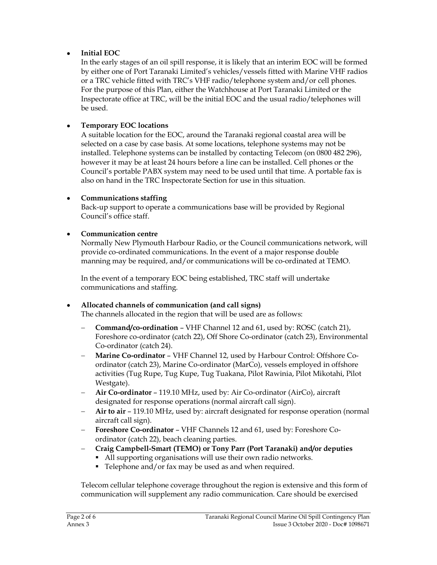### Initial EOC

In the early stages of an oil spill response, it is likely that an interim EOC will be formed by either one of Port Taranaki Limited's vehicles/vessels fitted with Marine VHF radios or a TRC vehicle fitted with TRC's VHF radio/telephone system and/or cell phones. For the purpose of this Plan, either the Watchhouse at Port Taranaki Limited or the Inspectorate office at TRC, will be the initial EOC and the usual radio/telephones will be used.

#### Temporary EOC locations

A suitable location for the EOC, around the Taranaki regional coastal area will be selected on a case by case basis. At some locations, telephone systems may not be installed. Telephone systems can be installed by contacting Telecom (on 0800 482 296), however it may be at least 24 hours before a line can be installed. Cell phones or the Council's portable PABX system may need to be used until that time. A portable fax is also on hand in the TRC Inspectorate Section for use in this situation.

#### Communications staffing

Back-up support to operate a communications base will be provided by Regional Council's office staff.

#### Communication centre

Normally New Plymouth Harbour Radio, or the Council communications network, will provide co-ordinated communications. In the event of a major response double manning may be required, and/or communications will be co-ordinated at TEMO.

In the event of a temporary EOC being established, TRC staff will undertake communications and staffing.

## Allocated channels of communication (and call signs)

The channels allocated in the region that will be used are as follows:

- Command/co-ordination VHF Channel 12 and 61, used by: ROSC (catch 21), Foreshore co-ordinator (catch 22), Off Shore Co-ordinator (catch 23), Environmental Co-ordinator (catch 24).
- Marine Co-ordinator VHF Channel 12, used by Harbour Control: Offshore Coordinator (catch 23), Marine Co-ordinator (MarCo), vessels employed in offshore activities (Tug Rupe, Tug Kupe, Tug Tuakana, Pilot Rawinia, Pilot Mikotahi, Pilot Westgate).
- Air Co-ordinator 119.10 MHz, used by: Air Co-ordinator (AirCo), aircraft designated for response operations (normal aircraft call sign).
- Air to air 119.10 MHz, used by: aircraft designated for response operation (normal aircraft call sign).
- Foreshore Co-ordinator VHF Channels 12 and 61, used by: Foreshore Coordinator (catch 22), beach cleaning parties.
- Craig Campbell-Smart (TEMO) or Tony Parr (Port Taranaki) and/or deputies
	- All supporting organisations will use their own radio networks.
	- Telephone and/or fax may be used as and when required.

Telecom cellular telephone coverage throughout the region is extensive and this form of communication will supplement any radio communication. Care should be exercised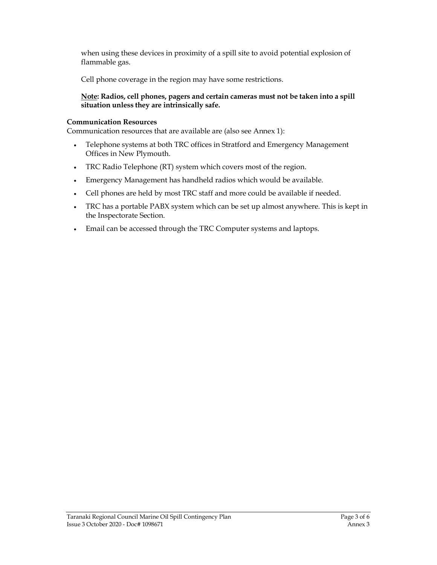when using these devices in proximity of a spill site to avoid potential explosion of flammable gas.

Cell phone coverage in the region may have some restrictions.

#### Note: Radios, cell phones, pagers and certain cameras must not be taken into a spill situation unless they are intrinsically safe.

#### Communication Resources

Communication resources that are available are (also see Annex 1):

- Telephone systems at both TRC offices in Stratford and Emergency Management Offices in New Plymouth.
- TRC Radio Telephone (RT) system which covers most of the region.
- Emergency Management has handheld radios which would be available.
- Cell phones are held by most TRC staff and more could be available if needed.
- TRC has a portable PABX system which can be set up almost anywhere. This is kept in the Inspectorate Section.
- Email can be accessed through the TRC Computer systems and laptops.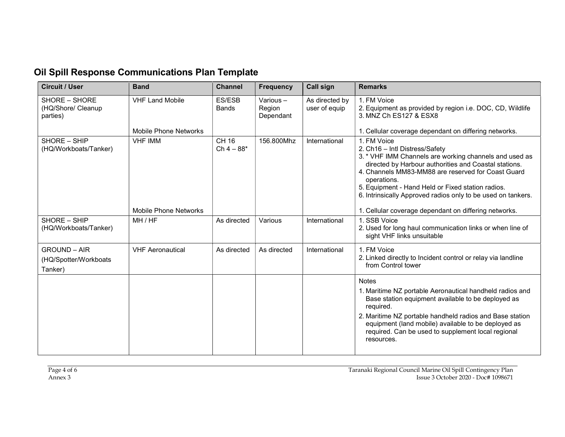# Oil Spill Response Communications Plan Template

| <b>Circuit / User</b>                                   | <b>Band</b>                                     | <b>Channel</b>         | <b>Frequency</b>                   | <b>Call sign</b>                | <b>Remarks</b>                                                                                                                                                                                                                                                                                                                                             |
|---------------------------------------------------------|-------------------------------------------------|------------------------|------------------------------------|---------------------------------|------------------------------------------------------------------------------------------------------------------------------------------------------------------------------------------------------------------------------------------------------------------------------------------------------------------------------------------------------------|
| SHORE - SHORE<br>(HQ/Shore/ Cleanup<br>parties)         | <b>VHF Land Mobile</b><br>Mobile Phone Networks | ES/ESB<br><b>Bands</b> | Various $-$<br>Region<br>Dependant | As directed by<br>user of equip | 1. FM Voice<br>2. Equipment as provided by region i.e. DOC, CD, Wildlife<br>3. MNZ Ch ES127 & ESX8<br>1. Cellular coverage dependant on differing networks.                                                                                                                                                                                                |
| SHORE - SHIP<br>(HQ/Workboats/Tanker)                   | <b>VHF IMM</b>                                  | CH 16<br>$Ch 4 - 88*$  | 156.800Mhz                         | International                   | 1. FM Voice<br>2. Ch16 - Intl Distress/Safety<br>3. * VHF IMM Channels are working channels and used as<br>directed by Harbour authorities and Coastal stations.<br>4. Channels MM83-MM88 are reserved for Coast Guard<br>operations.<br>5. Equipment - Hand Held or Fixed station radios.<br>6. Intrinsically Approved radios only to be used on tankers. |
|                                                         | <b>Mobile Phone Networks</b>                    |                        |                                    |                                 | 1. Cellular coverage dependant on differing networks.                                                                                                                                                                                                                                                                                                      |
| SHORE - SHIP<br>(HQ/Workboats/Tanker)                   | MH/HF                                           | As directed            | Various                            | International                   | 1. SSB Voice<br>2. Used for long haul communication links or when line of<br>sight VHF links unsuitable                                                                                                                                                                                                                                                    |
| <b>GROUND - AIR</b><br>(HQ/Spotter/Workboats<br>Tanker) | <b>VHF Aeronautical</b>                         | As directed            | As directed                        | International                   | 1. FM Voice<br>2. Linked directly to Incident control or relay via landline<br>from Control tower                                                                                                                                                                                                                                                          |
|                                                         |                                                 |                        |                                    |                                 | <b>Notes</b><br>1. Maritime NZ portable Aeronautical handheld radios and<br>Base station equipment available to be deployed as<br>required.<br>2. Maritime NZ portable handheld radios and Base station<br>equipment (land mobile) available to be deployed as<br>required. Can be used to supplement local regional<br>resources.                         |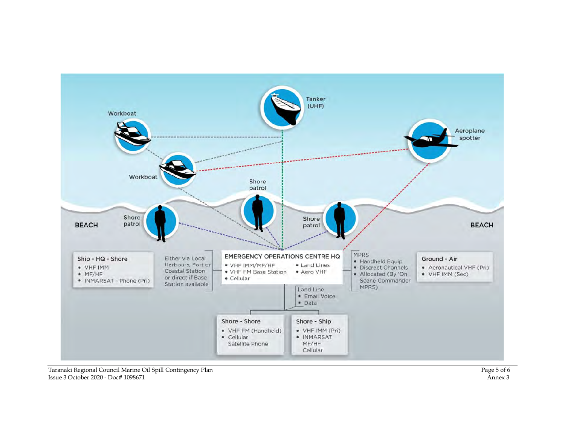

Taranaki Regional Council Marine Oil Spill Contingency Plan **Page 5 of 6** and Page 5 of 6 6 and Page 5 of 6 6 and Page 5 of 6 and Page 5 of 6 and Page 5 of 6 and Page 5 of 6 and Page 5 of 6 and Page 5 of 6 and Page 5 of 6 Issue 3 October 2020 - Doc# 1098671 Annex 3